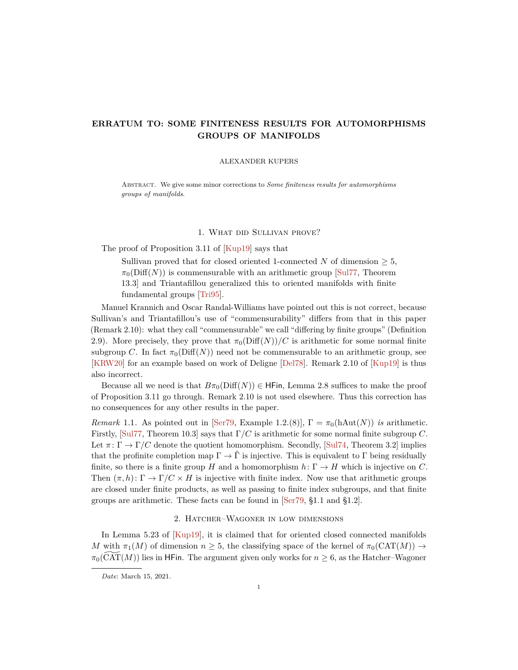# <span id="page-0-0"></span>**ERRATUM TO: SOME FINITENESS RESULTS FOR AUTOMORPHISMS GROUPS OF MANIFOLDS**

#### ALEXANDER KUPERS

Abstract. We give some minor corrections to *Some finiteness results for automorphisms groups of manifolds*.

### 1. What did Sullivan prove?

The proof of Proposition 3.11 of  $[Kup19]$  says that

Sullivan proved that for closed oriented 1-connected *N* of dimension  $\geq 5$ ,  $\pi_0(\text{Diff}(N))$  is commensurable with an arithmetic group [\[Sul77,](#page-1-1) Theorem 13.3] and Triantafillou generalized this to oriented manifolds with finite fundamental groups [\[Tri95\]](#page-1-2).

Manuel Krannich and Oscar Randal-Williams have pointed out this is not correct, because Sullivan's and Triantafillou's use of "commensurability" differs from that in this paper (Remark 2.10): what they call "commensurable" we call "differing by finite groups" (Definition 2.9). More precisely, they prove that  $\pi_0(\text{Diff}(N))/C$  is arithmetic for some normal finite subgroup *C*. In fact  $\pi_0(Diff(N))$  need not be commensurable to an arithmetic group, see [\[KRW20\]](#page-1-3) for an example based on work of Deligne [\[Del78\]](#page-1-4). Remark 2.10 of [\[Kup19\]](#page-1-0) is thus also incorrect.

Because all we need is that  $B\pi_0(Diff(N)) \in \mathsf{H}\mathsf{Fin}$ , Lemma 2.8 suffices to make the proof of Proposition 3.11 go through. Remark 2.10 is not used elsewhere. Thus this correction has no consequences for any other results in the paper.

*Remark* 1.1. As pointed out in [\[Ser79,](#page-1-5) Example 1.2.(8)],  $\Gamma = \pi_0(hAut(N))$  *is* arithmetic. Firstly, [\[Sul77,](#page-1-1) Theorem 10.3] says that Γ*/C* is arithmetic for some normal finite subgroup *C*. Let  $\pi: \Gamma \to \Gamma/C$  denote the quotient homomorphism. Secondly, [\[Sul74,](#page-1-6) Theorem 3.2] implies that the profinite completion map  $\Gamma \to \hat{\Gamma}$  is injective. This is equivalent to  $\Gamma$  being residually finite, so there is a finite group *H* and a homomorphism  $h: \Gamma \to H$  which is injective on *C*. Then  $(\pi, h): \Gamma \to \Gamma/C \times H$  is injective with finite index. Now use that arithmetic groups are closed under finite products, as well as passing to finite index subgroups, and that finite groups are arithmetic. These facts can be found in [\[Ser79,](#page-1-5) §1.1 and §1.2].

## 2. Hatcher–Wagoner in low dimensions

In Lemma 5.23 of [\[Kup19\]](#page-1-0), it is claimed that for oriented closed connected manifolds *M* with  $\pi_1(M)$  of dimension  $n \geq 5$ , the classifying space of the kernel of  $\pi_0(CAT(M)) \rightarrow$  $\pi_0(\widetilde{CAT}(M))$  lies in HFin. The argument given only works for  $n \geq 6$ , as the Hatcher–Wagoner

*Date*: March 15, 2021.